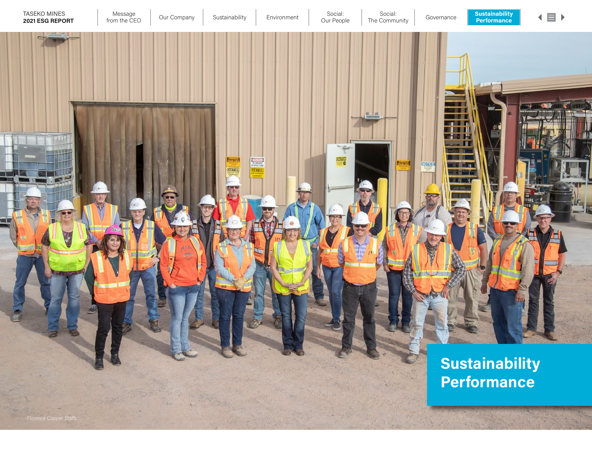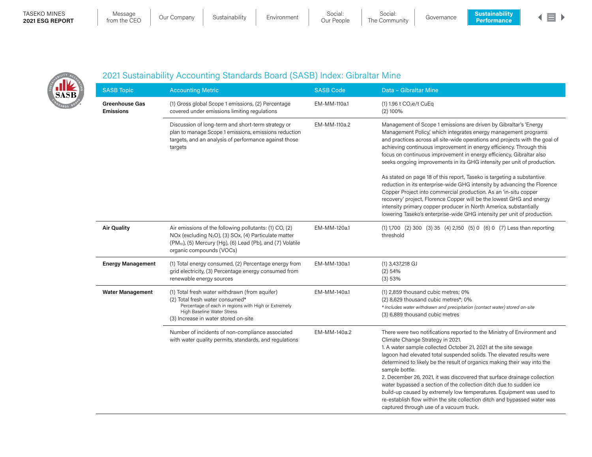### TASEKO MINES 2021 ESG REPORT

Message<br>from the CEO

Message | Our Company | Sustainability | Environment | Social: | Social: | Governance<br>| Our Peaple | The Community | Governance

Social: Our People The Community



SASB

# 2021 Sustainability Accounting Standards Board (SASB) Index: Gibraltar Mine

| <b>SASB Topic</b>                         | <b>Accounting Metric</b>                                                                                                                                                                                                          | <b>SASB Code</b> | Data - Gibraltar Mine                                                                                                                                                                                                                                                                                                                                                                                                                                                                                                                                                                                                                                                                                    |
|-------------------------------------------|-----------------------------------------------------------------------------------------------------------------------------------------------------------------------------------------------------------------------------------|------------------|----------------------------------------------------------------------------------------------------------------------------------------------------------------------------------------------------------------------------------------------------------------------------------------------------------------------------------------------------------------------------------------------------------------------------------------------------------------------------------------------------------------------------------------------------------------------------------------------------------------------------------------------------------------------------------------------------------|
| <b>Greenhouse Gas</b><br><b>Emissions</b> | (1) Gross global Scope 1 emissions, (2) Percentage<br>covered under emissions limiting regulations                                                                                                                                | EM-MM-110a.1     | (1) 1.96 t CO <sub>2</sub> e/t CuEq<br>$(2)$ 100%                                                                                                                                                                                                                                                                                                                                                                                                                                                                                                                                                                                                                                                        |
|                                           | Discussion of long-term and short-term strategy or<br>plan to manage Scope 1 emissions, emissions reduction<br>targets, and an analysis of performance against those<br>targets                                                   | EM-MM-110a.2     | Management of Scope 1 emissions are driven by Gibraltar's 'Energy<br>Management Policy, which integrates energy management programs<br>and practices across all site-wide operations and projects with the goal of<br>achieving continuous improvement in energy efficiency. Through this<br>focus on continuous improvement in energy efficiency, Gibraltar also<br>seeks ongoing improvements in its GHG intensity per unit of production.                                                                                                                                                                                                                                                             |
|                                           |                                                                                                                                                                                                                                   |                  | As stated on page 18 of this report, Taseko is targeting a substantive<br>reduction in its enterprise-wide GHG intensity by advancing the Florence<br>Copper Project into commercial production. As an 'in-situ copper<br>recovery' project, Florence Copper will be the lowest GHG and energy<br>intensity primary copper producer in North America, substantially<br>lowering Taseko's enterprise-wide GHG intensity per unit of production.                                                                                                                                                                                                                                                           |
| <b>Air Quality</b>                        | Air emissions of the following pollutants: (1) CO, (2)<br>NOx (excluding N <sub>2</sub> O), (3) SOx, (4) Particulate matter<br>(PM <sub>10</sub> ), (5) Mercury (Hg), (6) Lead (Pb), and (7) Volatile<br>organic compounds (VOCs) | EM-MM-120a.1     | (1) 1,700 (2) 300 (3) 35 (4) 2,150 (5) 0 (6) 0 (7) Less than reporting<br>threshold                                                                                                                                                                                                                                                                                                                                                                                                                                                                                                                                                                                                                      |
| <b>Energy Management</b>                  | (1) Total energy consumed, (2) Percentage energy from<br>grid electricity, (3) Percentage energy consumed from<br>renewable energy sources                                                                                        | EM-MM-130a.1     | $(1)$ 3,437,218 GJ<br>$(2)$ 54%<br>(3) 53%                                                                                                                                                                                                                                                                                                                                                                                                                                                                                                                                                                                                                                                               |
| <b>Water Management</b>                   | (1) Total fresh water withdrawn (from aquifer)<br>(2) Total fresh water consumed*<br>Percentage of each in regions with High or Extremely<br>High Baseline Water Stress<br>(3) Increase in water stored on-site                   | EM-MM-140a.1     | (1) 2,859 thousand cubic metres; 0%<br>(2) 8,629 thousand cubic metres*; 0%<br>* Includes water withdrawn and precipitation (contact water) stored on-site<br>(3) 6,889 thousand cubic metres                                                                                                                                                                                                                                                                                                                                                                                                                                                                                                            |
|                                           | Number of incidents of non-compliance associated<br>with water quality permits, standards, and regulations                                                                                                                        | EM-MM-140a.2     | There were two notifications reported to the Ministry of Environment and<br>Climate Change Strategy in 2021.<br>1. A water sample collected October 21, 2021 at the site sewage<br>lagoon had elevated total suspended solids. The elevated results were<br>determined to likely be the result of organics making their way into the<br>sample bottle.<br>2. December 26, 2021, it was discovered that surface drainage collection<br>water bypassed a section of the collection ditch due to sudden ice<br>build-up caused by extremely low temperatures. Equipment was used to<br>re-establish flow within the site collection ditch and bypassed water was<br>captured through use of a vacuum truck. |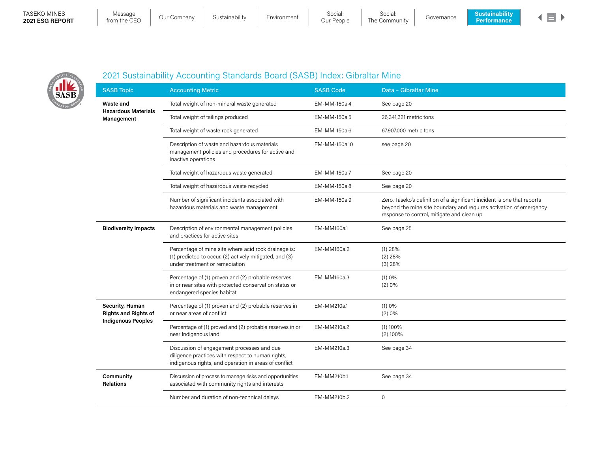#### TASEKO MINES 2021 ESG REPORT

| Message          | Our |
|------------------|-----|
| rom the CFO $\,$ |     |



SASB

## 2021 Sustainability Accounting Standards Board (SASB) Index: Gibraltar Mine

| <b>SASB Topic</b>                                                                                            | <b>Accounting Metric</b>                                                                                                                                 | <b>SASB Code</b> | Data - Gibraltar Mine                                                                                                                                                                        |
|--------------------------------------------------------------------------------------------------------------|----------------------------------------------------------------------------------------------------------------------------------------------------------|------------------|----------------------------------------------------------------------------------------------------------------------------------------------------------------------------------------------|
| Waste and                                                                                                    | Total weight of non-mineral waste generated                                                                                                              | EM-MM-150a.4     | See page 20                                                                                                                                                                                  |
| <b>Hazardous Materials</b><br>Management<br><b>Biodiversity Impacts</b>                                      | Total weight of tailings produced                                                                                                                        | EM-MM-150a.5     | 26,341,321 metric tons                                                                                                                                                                       |
|                                                                                                              | Total weight of waste rock generated                                                                                                                     | EM-MM-150a.6     | 67,907,000 metric tons                                                                                                                                                                       |
|                                                                                                              | Description of waste and hazardous materials<br>management policies and procedures for active and<br>inactive operations                                 | EM-MM-150a.10    | see page 20                                                                                                                                                                                  |
|                                                                                                              | Total weight of hazardous waste generated                                                                                                                | EM-MM-150a.7     | See page 20                                                                                                                                                                                  |
|                                                                                                              | Total weight of hazardous waste recycled                                                                                                                 | EM-MM-150a.8     | See page 20                                                                                                                                                                                  |
|                                                                                                              | Number of significant incidents associated with<br>hazardous materials and waste management                                                              | EM-MM-150a.9     | Zero. Taseko's definition of a significant incident is one that reports<br>beyond the mine site boundary and requires activation of emergency<br>response to control, mitigate and clean up. |
|                                                                                                              | Description of environmental management policies<br>and practices for active sites                                                                       | EM-MM160a.1      | See page 25                                                                                                                                                                                  |
| Security, Human<br><b>Rights and Rights of</b><br><b>Indigenous Peoples</b><br>Community<br><b>Relations</b> | Percentage of mine site where acid rock drainage is:<br>(1) predicted to occur, (2) actively mitigated, and (3)<br>under treatment or remediation        | EM-MM160a.2      | $(1)$ 28%<br>$(2)$ 28%<br>$(3)$ 28%                                                                                                                                                          |
|                                                                                                              | Percentage of (1) proven and (2) probable reserves<br>in or near sites with protected conservation status or<br>endangered species habitat               | EM-MM160a.3      | (1)0%<br>(2)0%                                                                                                                                                                               |
|                                                                                                              | Percentage of (1) proven and (2) probable reserves in<br>or near areas of conflict                                                                       | EM-MM210a.1      | (1)0%<br>(2)0%                                                                                                                                                                               |
|                                                                                                              | Percentage of (1) proved and (2) probable reserves in or<br>near Indigenous land                                                                         | EM-MM210a.2      | $(1)$ 100%<br>$(2)$ 100%                                                                                                                                                                     |
|                                                                                                              | Discussion of engagement processes and due<br>diligence practices with respect to human rights,<br>indigenous rights, and operation in areas of conflict | EM-MM210a.3      | See page 34                                                                                                                                                                                  |
|                                                                                                              | Discussion of process to manage risks and opportunities<br>associated with community rights and interests                                                | EM-MM210b.1      | See page 34                                                                                                                                                                                  |
|                                                                                                              | Number and duration of non-technical delays                                                                                                              | EM-MM210b.2      | $\mathbf 0$                                                                                                                                                                                  |
|                                                                                                              |                                                                                                                                                          |                  |                                                                                                                                                                                              |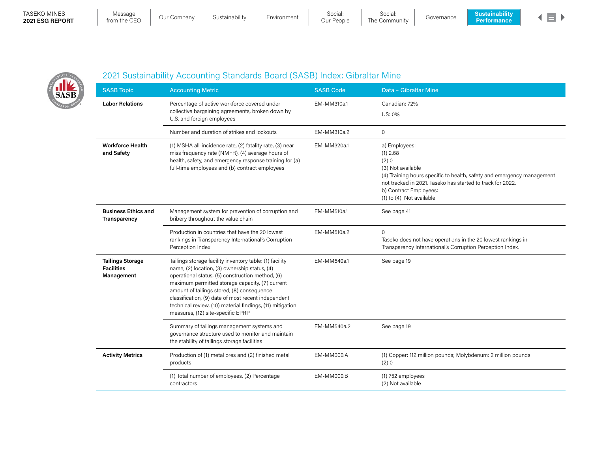#### TASEKO MINES 2021 ESG REPORT

SASB

| Message            | Oι |
|--------------------|----|
| from the $\cap$ FO |    |





## 2021 Sustainability Accounting Standards Board (SASB) Index: Gibraltar Mine

| <b>SASB Topic</b>                                          | <b>Accounting Metric</b>                                                                                                                                                                                                                                                                                                                                                                                               | <b>SASB Code</b> | Data - Gibraltar Mine                                                                                                                                                                                                                                        |
|------------------------------------------------------------|------------------------------------------------------------------------------------------------------------------------------------------------------------------------------------------------------------------------------------------------------------------------------------------------------------------------------------------------------------------------------------------------------------------------|------------------|--------------------------------------------------------------------------------------------------------------------------------------------------------------------------------------------------------------------------------------------------------------|
| <b>Labor Relations</b>                                     | Percentage of active workforce covered under<br>collective bargaining agreements, broken down by<br>U.S. and foreign employees                                                                                                                                                                                                                                                                                         | EM-MM310a.1      | Canadian: 72%<br>US: 0%                                                                                                                                                                                                                                      |
|                                                            | Number and duration of strikes and lockouts                                                                                                                                                                                                                                                                                                                                                                            | EM-MM310a.2      | $\mathsf{O}$                                                                                                                                                                                                                                                 |
| <b>Workforce Health</b><br>and Safety                      | (1) MSHA all-incidence rate, (2) fatality rate, (3) near<br>miss frequency rate (NMFR), (4) average hours of<br>health, safety, and emergency response training for (a)<br>full-time employees and (b) contract employees                                                                                                                                                                                              | EM-MM320a.1      | a) Employees:<br>$(1)$ 2.68<br>(2)0<br>(3) Not available<br>(4) Training hours specific to health, safety and emergency management<br>not tracked in 2021. Taseko has started to track for 2022.<br>b) Contract Employees:<br>$(1)$ to $(4)$ : Not available |
| <b>Business Ethics and</b><br>Transparency                 | Management system for prevention of corruption and<br>bribery throughout the value chain                                                                                                                                                                                                                                                                                                                               | EM-MM510a.1      | See page 41                                                                                                                                                                                                                                                  |
|                                                            | Production in countries that have the 20 lowest<br>rankings in Transparency International's Corruption<br>Perception Index                                                                                                                                                                                                                                                                                             | EM-MM510a.2      | $\mathbf{0}$<br>Taseko does not have operations in the 20 lowest rankings in<br>Transparency International's Corruption Perception Index.                                                                                                                    |
| <b>Tailings Storage</b><br><b>Facilities</b><br>Management | Tailings storage facility inventory table: (1) facility<br>name, (2) location, (3) ownership status, (4)<br>operational status, (5) construction method, (6)<br>maximum permitted storage capacity, (7) current<br>amount of tailings stored, (8) consequence<br>classification, (9) date of most recent independent<br>technical review, (10) material findings, (11) mitigation<br>measures, (12) site-specific EPRP | EM-MM540a.1      | See page 19                                                                                                                                                                                                                                                  |
|                                                            | Summary of tailings management systems and<br>governance structure used to monitor and maintain<br>the stability of tailings storage facilities                                                                                                                                                                                                                                                                        | EM-MM540a.2      | See page 19                                                                                                                                                                                                                                                  |
| <b>Activity Metrics</b>                                    | Production of (1) metal ores and (2) finished metal<br>products                                                                                                                                                                                                                                                                                                                                                        | EM-MM000.A       | (1) Copper: 112 million pounds; Molybdenum: 2 million pounds<br>(2)0                                                                                                                                                                                         |
|                                                            | (1) Total number of employees, (2) Percentage<br>contractors                                                                                                                                                                                                                                                                                                                                                           | EM-MM000.B       | (1) 752 employees<br>(2) Not available                                                                                                                                                                                                                       |
|                                                            |                                                                                                                                                                                                                                                                                                                                                                                                                        |                  |                                                                                                                                                                                                                                                              |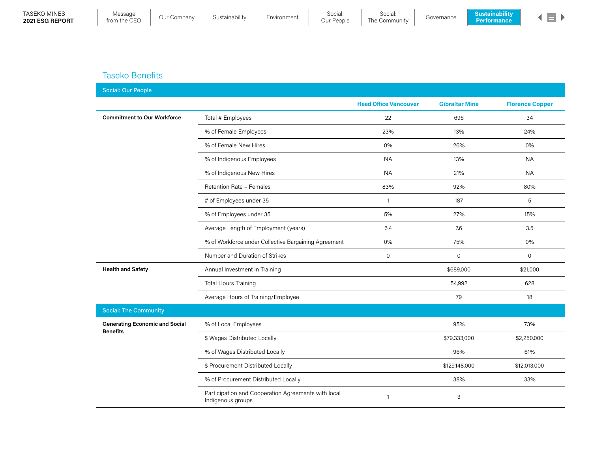

### Taseko Benefits

| <b>Social: Our People</b>             |                                                                          |                              |                       |                        |
|---------------------------------------|--------------------------------------------------------------------------|------------------------------|-----------------------|------------------------|
|                                       |                                                                          | <b>Head Office Vancouver</b> | <b>Gibraltar Mine</b> | <b>Florence Copper</b> |
| <b>Commitment to Our Workforce</b>    | Total # Employees                                                        | 22                           | 696                   | 34                     |
|                                       | % of Female Employees                                                    | 23%                          | 13%                   | 24%                    |
|                                       | % of Female New Hires                                                    | 0%                           | 26%                   | 0%                     |
|                                       | % of Indigenous Employees                                                | <b>NA</b>                    | 13%                   | <b>NA</b>              |
|                                       | % of Indigenous New Hires                                                | <b>NA</b>                    | 21%                   | <b>NA</b>              |
|                                       | Retention Rate - Females                                                 | 83%                          | 92%                   | 80%                    |
|                                       | # of Employees under 35                                                  | $\mathbf{1}$                 | 187                   | 5                      |
|                                       | % of Employees under 35                                                  | 5%                           | 27%                   | 15%                    |
|                                       | Average Length of Employment (years)                                     | 6.4                          | 7.6                   | 3.5                    |
|                                       | % of Workforce under Collective Bargaining Agreement                     | 0%                           | 75%                   | 0%                     |
|                                       | Number and Duration of Strikes                                           | $\mathbf 0$                  | $\mathbf 0$           | $\mathsf{O}$           |
| <b>Health and Safety</b>              | Annual Investment in Training                                            |                              | \$689,000             | \$21,000               |
|                                       | <b>Total Hours Training</b>                                              |                              | 54,992                | 628                    |
|                                       | Average Hours of Training/Employee                                       |                              | 79                    | 18                     |
| <b>Social: The Community</b>          |                                                                          |                              |                       |                        |
| <b>Generating Economic and Social</b> | % of Local Employees                                                     |                              | 95%                   | 73%                    |
| <b>Benefits</b>                       | \$ Wages Distributed Locally                                             |                              | \$79,333,000          | \$2,250,000            |
|                                       | % of Wages Distributed Locally                                           |                              | 96%                   | 61%                    |
|                                       | \$ Procurement Distributed Locally                                       |                              | \$129,148,000         | \$12,013,000           |
|                                       | % of Procurement Distributed Locally                                     |                              | 38%                   | 33%                    |
|                                       | Participation and Cooperation Agreements with local<br>Indigenous groups | $\mathbf{1}$                 | 3                     |                        |